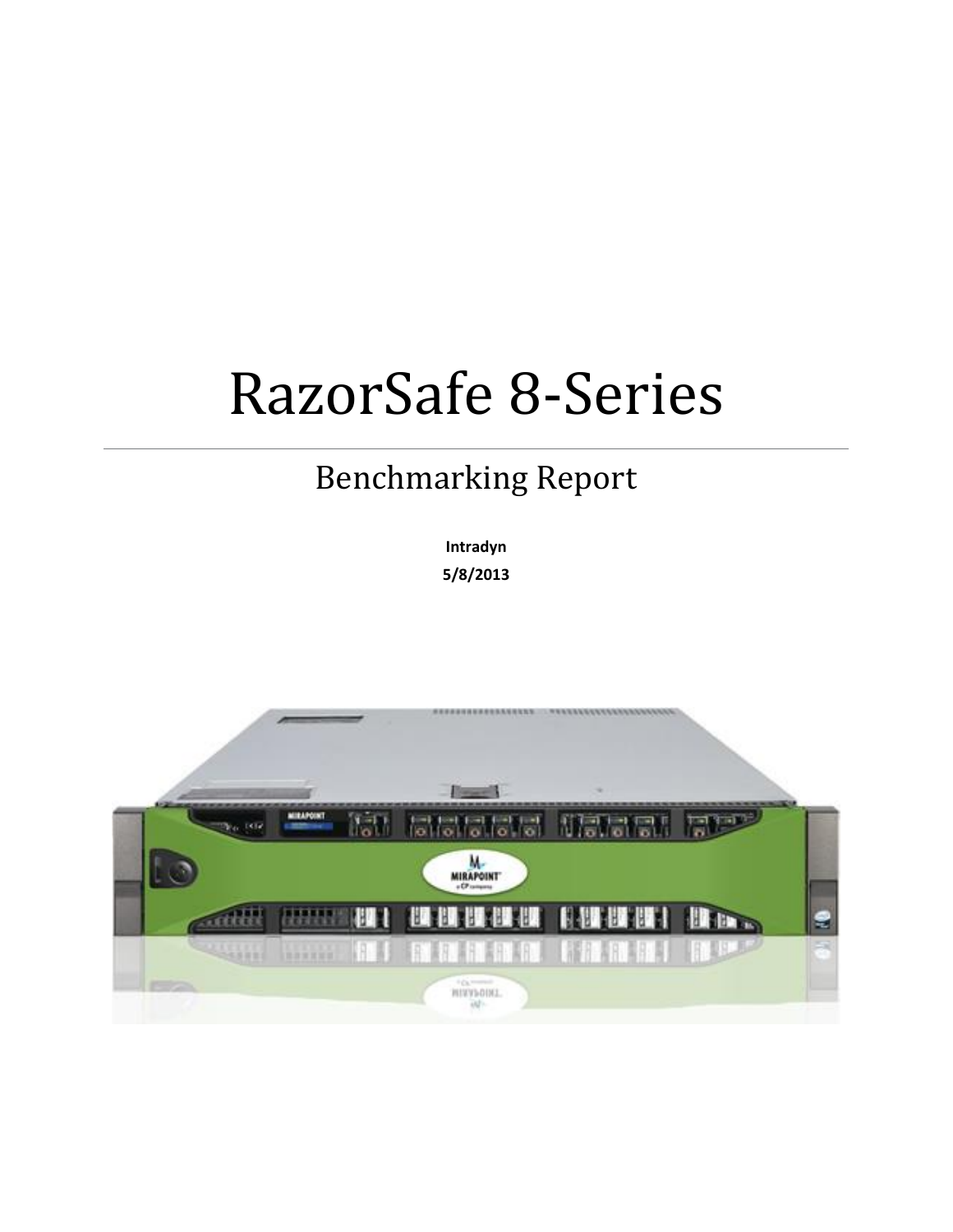# RazorSafe 8-Series

# Benchmarking Report

**Intradyn 5/8/2013**

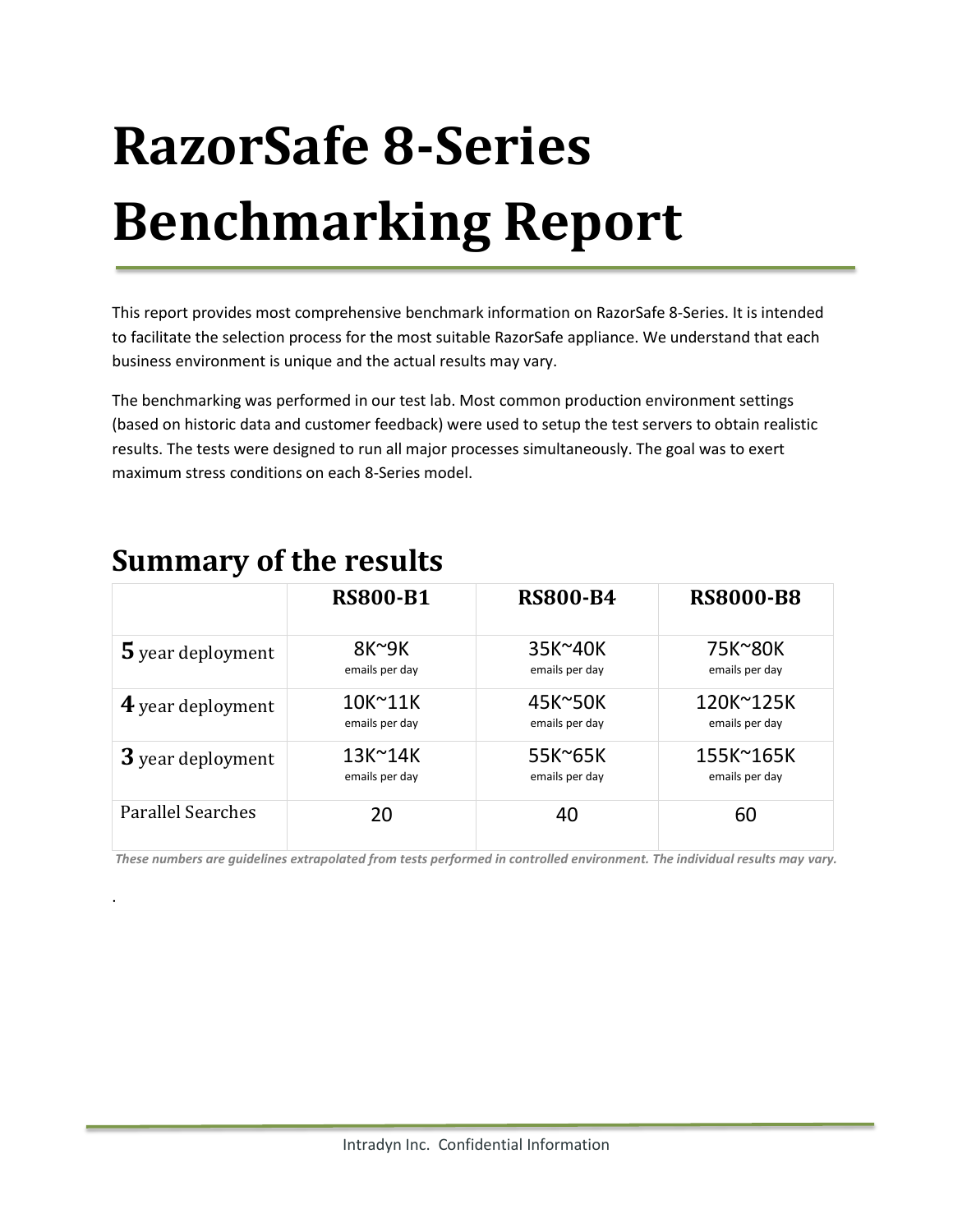# **RazorSafe 8-Series Benchmarking Report**

This report provides most comprehensive benchmark information on RazorSafe 8-Series. It is intended to facilitate the selection process for the most suitable RazorSafe appliance. We understand that each business environment is unique and the actual results may vary.

The benchmarking was performed in our test lab. Most common production environment settings (based on historic data and customer feedback) were used to setup the test servers to obtain realistic results. The tests were designed to run all major processes simultaneously. The goal was to exert maximum stress conditions on each 8-Series model.

|                          | <b>RS800-B1</b> | <b>RS800-B4</b> | <b>RS8000-B8</b> |
|--------------------------|-----------------|-----------------|------------------|
| 5 year deployment        | $8K^9K$         | 35K~40K         | 75K~80K          |
|                          | emails per day  | emails per day  | emails per day   |
| 4 year deployment        | 10K~11K         | 45K~50K         | 120K~125K        |
|                          | emails per day  | emails per day  | emails per day   |
| 3 year deployment        | 13K~14K         | 55K~65K         | 155K~165K        |
|                          | emails per day  | emails per day  | emails per day   |
| <b>Parallel Searches</b> | 20              |                 | 60               |

# **Summary of the results**

.

*These numbers are guidelines extrapolated from tests performed in controlled environment. The individual results may vary.*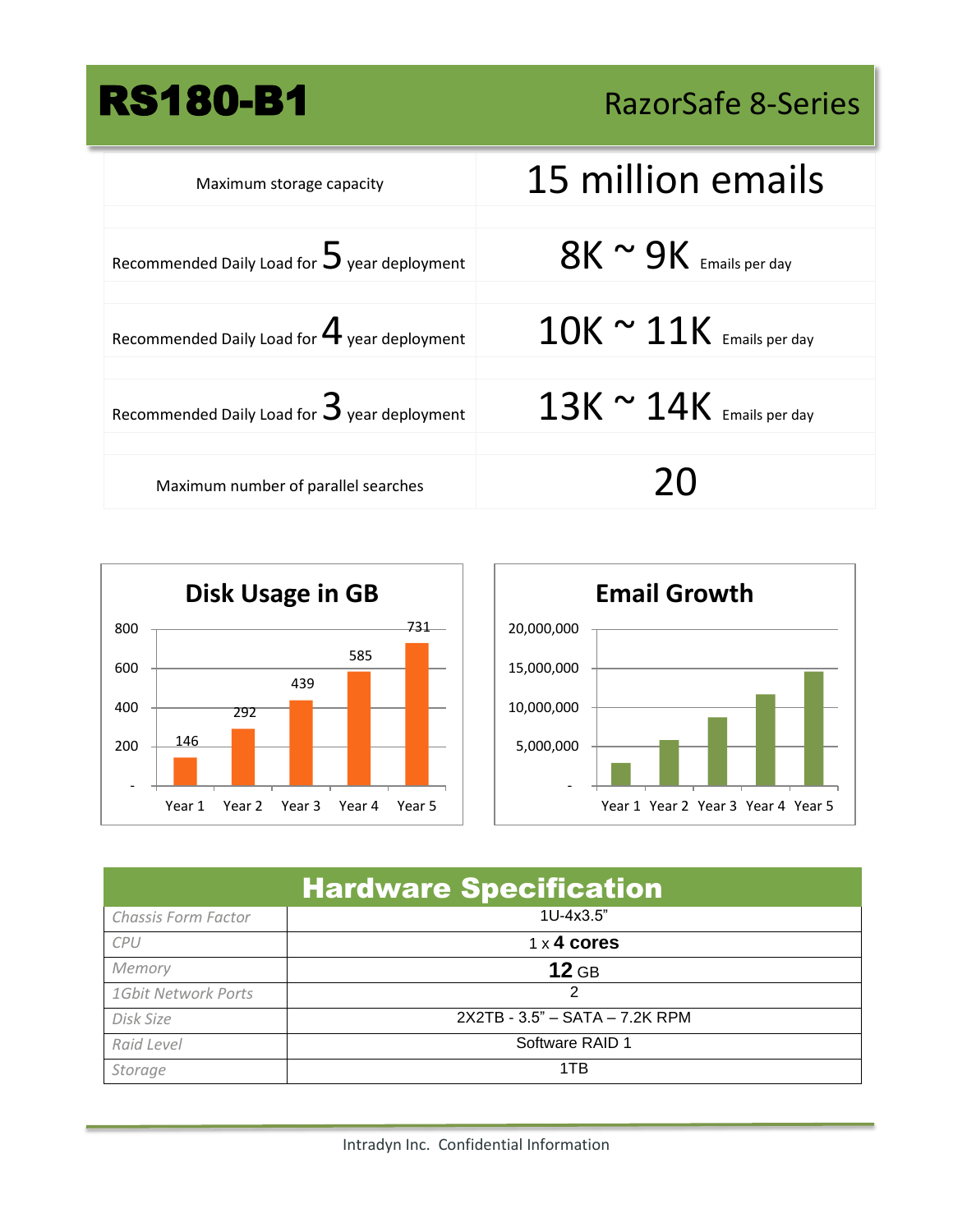RS180-B1 RazorSafe 8-Series

| Maximum storage capacity                               | 15 million emails                |
|--------------------------------------------------------|----------------------------------|
|                                                        |                                  |
| Recommended Daily Load for $5$ year deployment         | $8K \sim 9K$ Emails per day      |
|                                                        |                                  |
| Recommended Daily Load for $\mathbf 4$ year deployment | $10K \approx 11K$ Emails per day |
|                                                        |                                  |
| Recommended Daily Load for $\mathbf 3$ year deployment | $13K \approx 14K$ Emails per day |
|                                                        |                                  |
| Maximum number of parallel searches                    | 20                               |





| <b>Hardware Specification</b> |                                |  |
|-------------------------------|--------------------------------|--|
| Chassis Form Factor           | 1U-4x3.5"                      |  |
| <b>CPU</b>                    | $1 \times 4$ cores             |  |
| Memory                        | $12$ GB                        |  |
| 1Gbit Network Ports           |                                |  |
| Disk Size                     | 2X2TB - 3.5" - SATA - 7.2K RPM |  |
| Raid Level                    | Software RAID 1                |  |
| Storage                       | 1TB                            |  |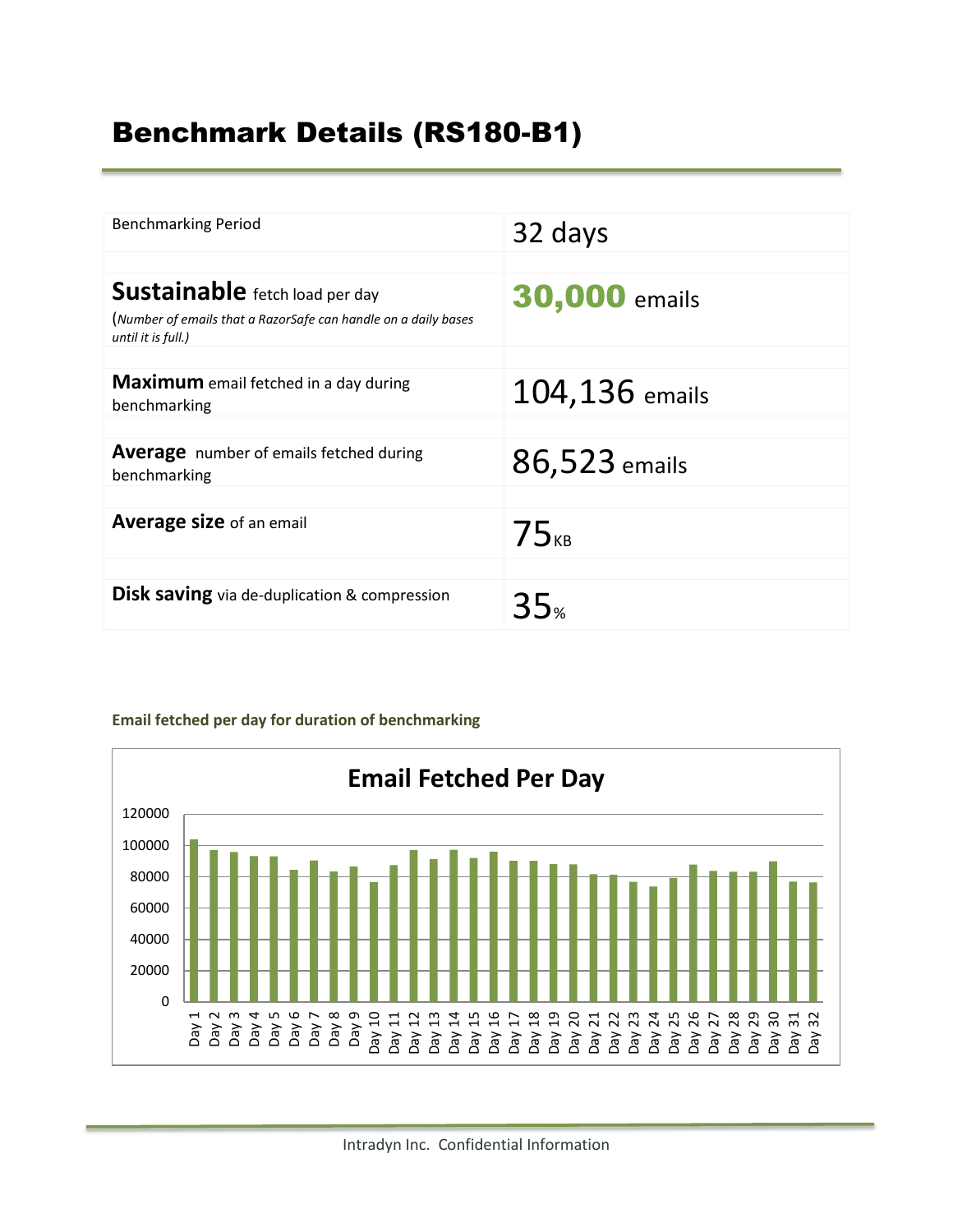# Benchmark Details (RS180-B1)

| <b>Benchmarking Period</b>                                                                                                    | 32 days              |
|-------------------------------------------------------------------------------------------------------------------------------|----------------------|
| <b>Sustainable</b> fetch load per day<br>(Number of emails that a RazorSafe can handle on a daily bases<br>until it is full.) | <b>30,000 emails</b> |
| <b>Maximum</b> email fetched in a day during<br>benchmarking                                                                  | 104,136 emails       |
| <b>Average</b> number of emails fetched during<br>benchmarking                                                                | 86,523 emails        |
| Average size of an email                                                                                                      | $75_{kB}$            |
| <b>Disk saving</b> via de-duplication & compression                                                                           | 35.                  |

#### **Email fetched per day for duration of benchmarking**

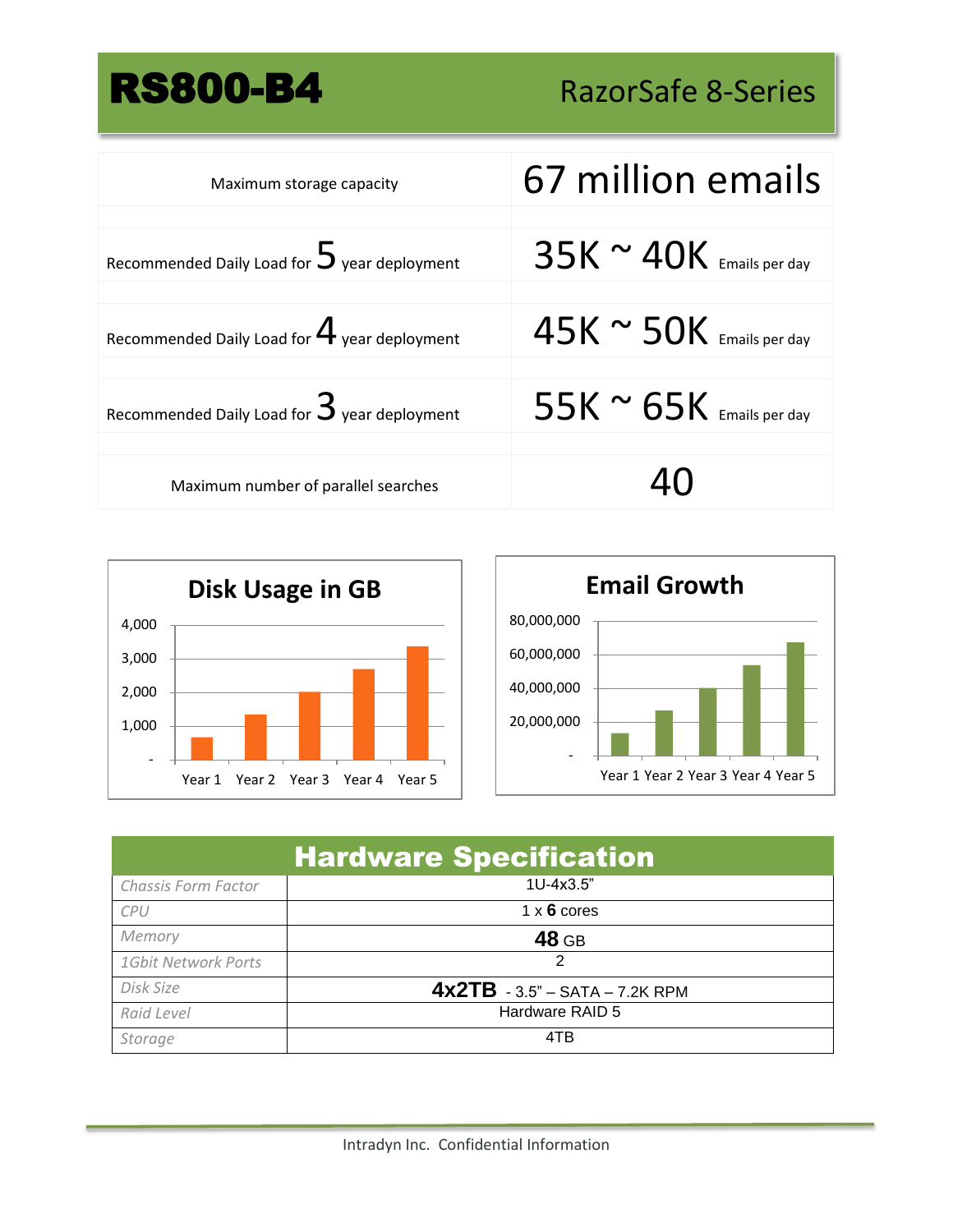# RS800-B4 RazorSafe 8-Series

| Maximum storage capacity                               | 67 million emails                |
|--------------------------------------------------------|----------------------------------|
| Recommended Daily Load for $5$ year deployment         | $35K \approx 40K$ Emails per day |
| Recommended Daily Load for $\mathbf 4$ year deployment | $45K \approx 50K$ Emails per day |
| Recommended Daily Load for $\mathbf 3$ year deployment | 55K $\sim$ 65K Emails per day    |
| Maximum number of parallel searches                    |                                  |





| <b>Hardware Specification</b> |                                  |  |
|-------------------------------|----------------------------------|--|
| Chassis Form Factor           | $1U-4x3.5"$                      |  |
| CPU                           | $1 \times 6$ cores               |  |
| Memory                        | 48 GB                            |  |
| 1Gbit Network Ports           | 2                                |  |
| Disk Size                     | $4x2TB - 3.5" - SATA - 7.2K RPM$ |  |
| Raid Level                    | Hardware RAID 5                  |  |
| Storage                       | 4TB                              |  |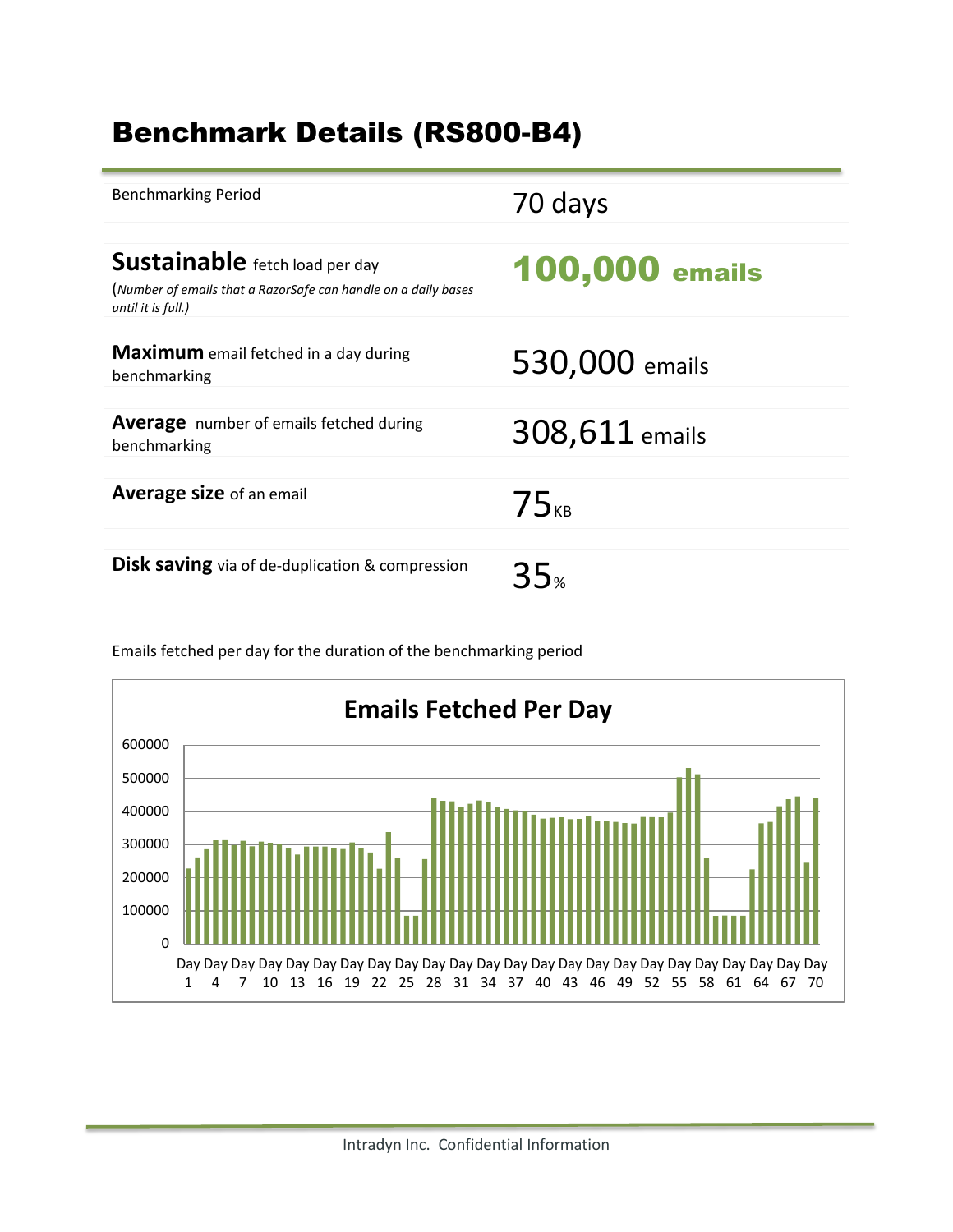# Benchmark Details (RS800-B4)

| <b>Benchmarking Period</b>                                                                                                    | 70 days               |
|-------------------------------------------------------------------------------------------------------------------------------|-----------------------|
| <b>Sustainable</b> fetch load per day<br>(Number of emails that a RazorSafe can handle on a daily bases<br>until it is full.) | <b>100,000 emails</b> |
| <b>Maximum</b> email fetched in a day during<br>benchmarking                                                                  | 530,000 emails        |
| <b>Average</b> number of emails fetched during<br>benchmarking                                                                | 308,611 emails        |
| Average size of an email                                                                                                      | $75_{KB}$             |
| <b>Disk saving</b> via of de-duplication & compression                                                                        | 35∝                   |



Emails fetched per day for the duration of the benchmarking period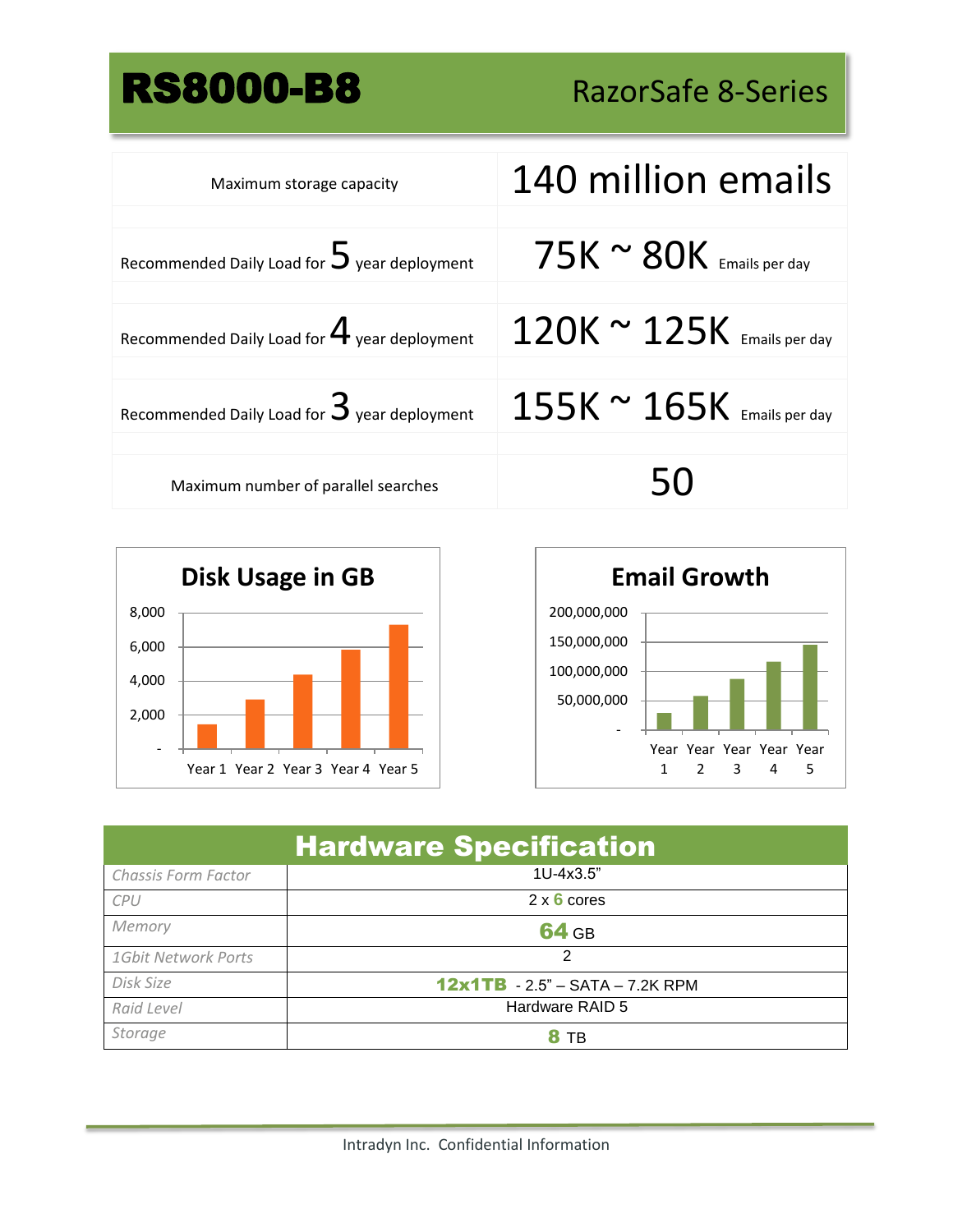# RS8000-B8 RazorSafe 8-Series

| Maximum storage capacity                               | 140 million emails                 |
|--------------------------------------------------------|------------------------------------|
| Recommended Daily Load for $5$ year deployment         | $75K \approx 80K$ Emails per day   |
| Recommended Daily Load for $\mathbf 4$ year deployment | $120K \approx 125K$ Emails per day |
| Recommended Daily Load for $\mathbf 3$ year deployment | $155K \approx 165K$ Emails per day |
| Maximum number of parallel searches                    | 50                                 |





| <b>Hardware Specification</b> |                                   |  |
|-------------------------------|-----------------------------------|--|
| Chassis Form Factor           | 1U-4x3.5"                         |  |
| CPU                           | $2 \times 6$ cores                |  |
| Memory                        | <b>64 GB</b>                      |  |
| 1Gbit Network Ports           | 2                                 |  |
| Disk Size                     | $12x1TB - 2.5" - SATA - 7.2K RPM$ |  |
| Raid Level                    | Hardware RAID 5                   |  |
| Storage                       |                                   |  |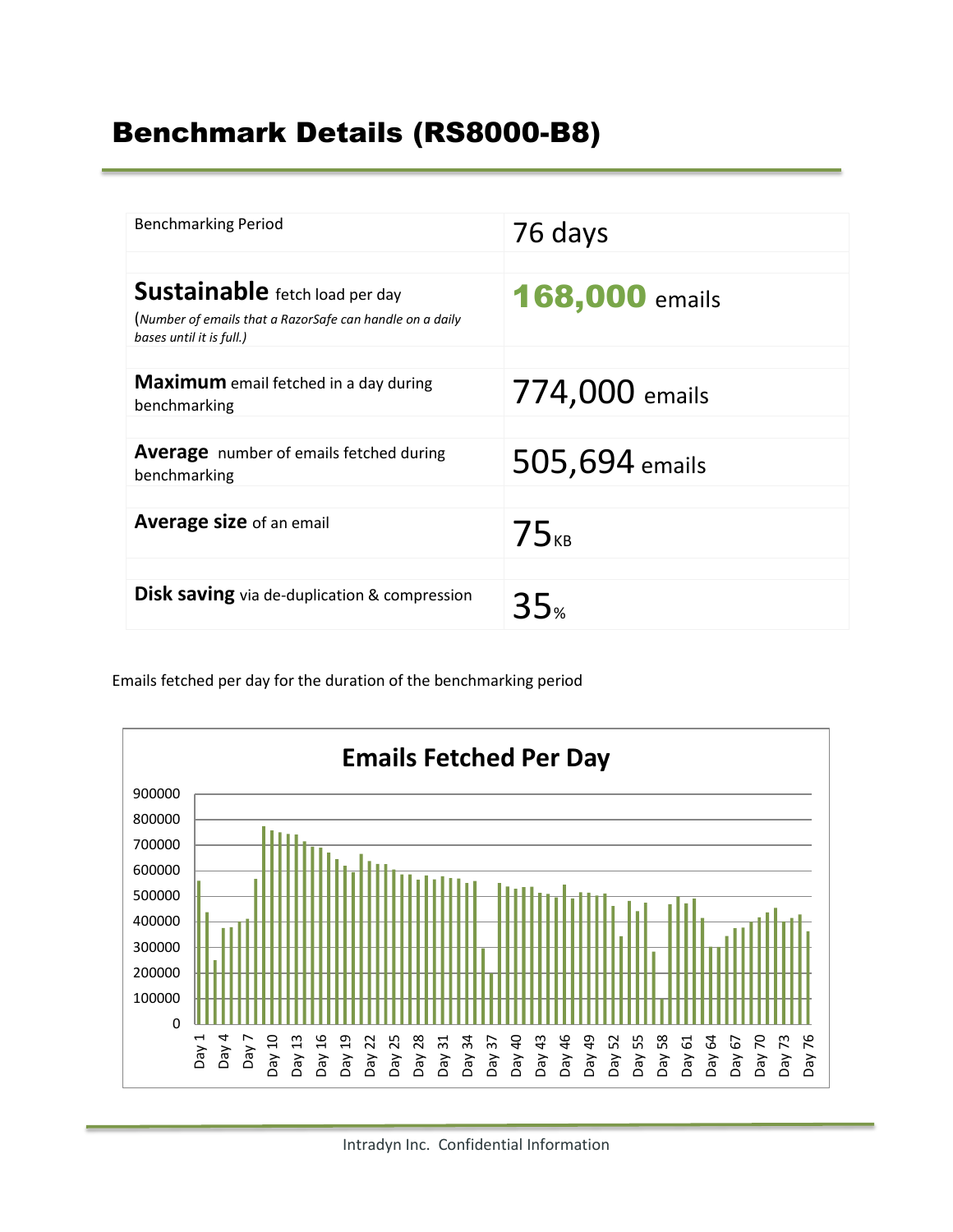## Benchmark Details (RS8000-B8)

| <b>Benchmarking Period</b>                                                                                                    | 76 days               |
|-------------------------------------------------------------------------------------------------------------------------------|-----------------------|
| <b>Sustainable</b> fetch load per day<br>(Number of emails that a RazorSafe can handle on a daily<br>bases until it is full.) | <b>168,000 emails</b> |
| Maximum email fetched in a day during<br>benchmarking                                                                         | 774,000 emails        |
| <b>Average</b> number of emails fetched during<br>benchmarking                                                                | 505,694 emails        |
| Average size of an email                                                                                                      | 75 <sub>KB</sub>      |
| <b>Disk saving</b> via de-duplication & compression                                                                           | 35 <sub>%</sub>       |

Emails fetched per day for the duration of the benchmarking period

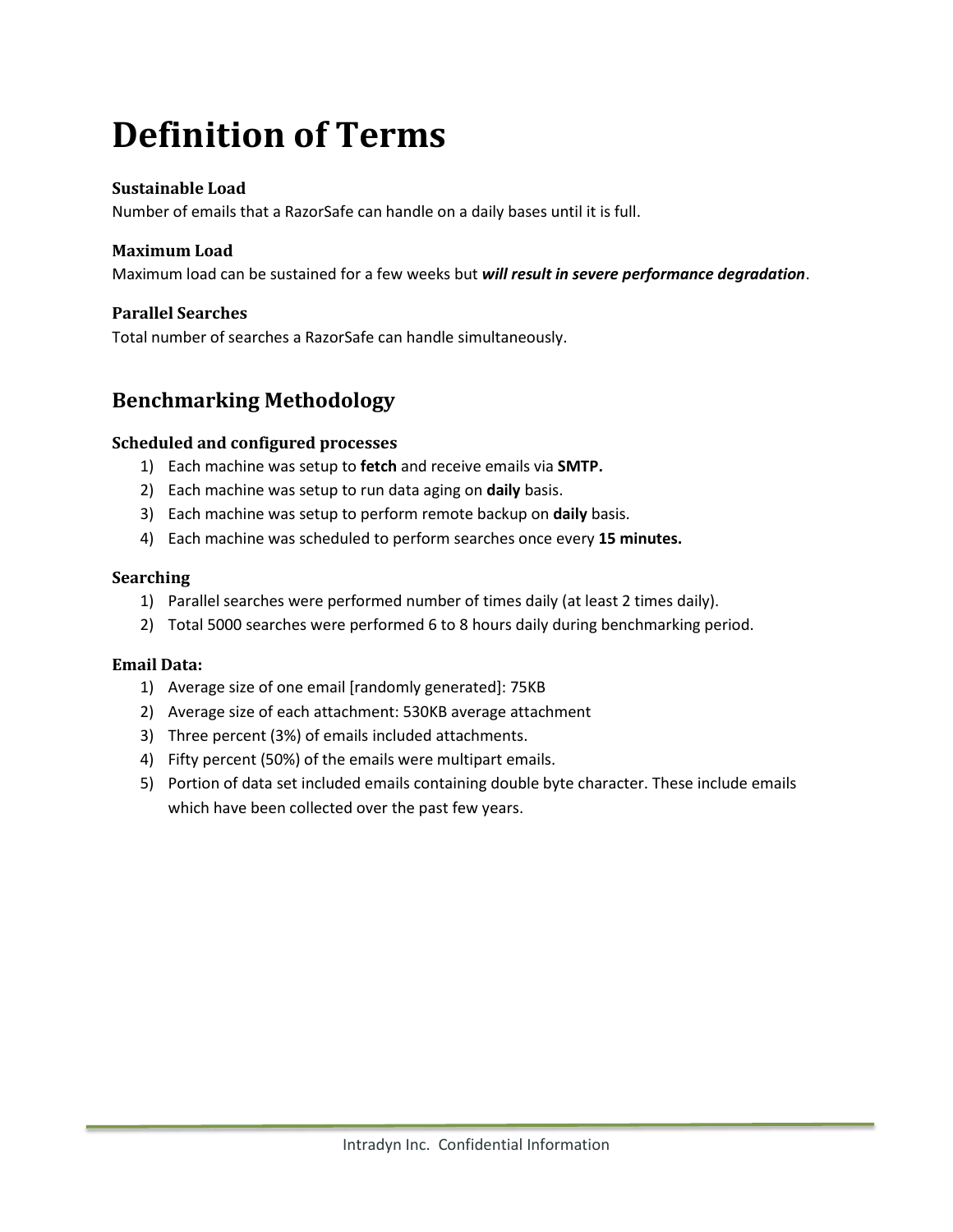# **Definition of Terms**

### **Sustainable Load**

Number of emails that a RazorSafe can handle on a daily bases until it is full.

#### **Maximum Load**

Maximum load can be sustained for a few weeks but *will result in severe performance degradation*.

#### **Parallel Searches**

Total number of searches a RazorSafe can handle simultaneously.

## **Benchmarking Methodology**

#### **Scheduled and configured processes**

- 1) Each machine was setup to **fetch** and receive emails via **SMTP.**
- 2) Each machine was setup to run data aging on **daily** basis.
- 3) Each machine was setup to perform remote backup on **daily** basis.
- 4) Each machine was scheduled to perform searches once every **15 minutes.**

#### **Searching**

- 1) Parallel searches were performed number of times daily (at least 2 times daily).
- 2) Total 5000 searches were performed 6 to 8 hours daily during benchmarking period.

#### **Email Data:**

- 1) Average size of one email [randomly generated]: 75KB
- 2) Average size of each attachment: 530KB average attachment
- 3) Three percent (3%) of emails included attachments.
- 4) Fifty percent (50%) of the emails were multipart emails.
- 5) Portion of data set included emails containing double byte character. These include emails which have been collected over the past few years.